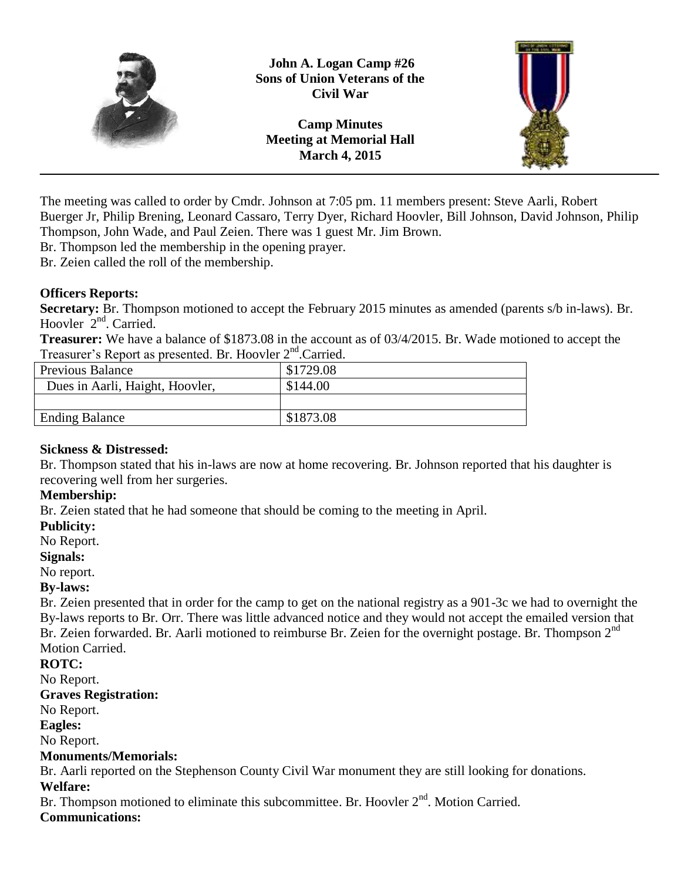

**John A. Logan Camp #26 Sons of Union Veterans of the Civil War**

**Camp Minutes Meeting at Memorial Hall March 4, 2015**



The meeting was called to order by Cmdr. Johnson at 7:05 pm. 11 members present: Steve Aarli, Robert Buerger Jr, Philip Brening, Leonard Cassaro, Terry Dyer, Richard Hoovler, Bill Johnson, David Johnson, Philip Thompson, John Wade, and Paul Zeien. There was 1 guest Mr. Jim Brown.

Br. Thompson led the membership in the opening prayer.

Br. Zeien called the roll of the membership.

## **Officers Reports:**

**Secretary:** Br. Thompson motioned to accept the February 2015 minutes as amended (parents s/b in-laws). Br. Hoovler 2<sup>nd</sup>. Carried.

**Treasurer:** We have a balance of \$1873.08 in the account as of 03/4/2015. Br. Wade motioned to accept the Treasurer's Report as presented. Br. Hoovler 2<sup>nd</sup>.Carried.

| Previous Balance                | \$1729.08 |
|---------------------------------|-----------|
| Dues in Aarli, Haight, Hoovler, | \$144.00  |
|                                 |           |
| <b>Ending Balance</b>           | \$1873.08 |
|                                 |           |

## **Sickness & Distressed:**

Br. Thompson stated that his in-laws are now at home recovering. Br. Johnson reported that his daughter is recovering well from her surgeries.

## **Membership:**

Br. Zeien stated that he had someone that should be coming to the meeting in April.

#### **Publicity:**

No Report.

#### **Signals:**

No report.

## **By-laws:**

Br. Zeien presented that in order for the camp to get on the national registry as a 901-3c we had to overnight the By-laws reports to Br. Orr. There was little advanced notice and they would not accept the emailed version that Br. Zeien forwarded. Br. Aarli motioned to reimburse Br. Zeien for the overnight postage. Br. Thompson 2<sup>nd</sup> Motion Carried.

#### **ROTC:**

No Report.

#### **Graves Registration:**

No Report.

#### **Eagles:**

No Report.

## **Monuments/Memorials:**

Br. Aarli reported on the Stephenson County Civil War monument they are still looking for donations. **Welfare:**

Br. Thompson motioned to eliminate this subcommittee. Br. Hoovler 2<sup>nd</sup>. Motion Carried.

## **Communications:**